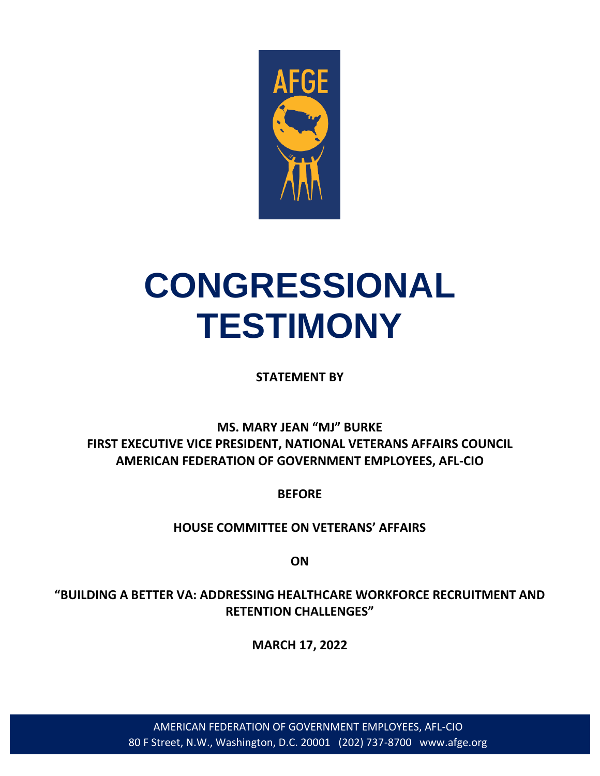

# **CONGRESSIONAL TESTIMONY**

**STATEMENT BY**

## **MS. MARY JEAN "MJ" BURKE FIRST EXECUTIVE VICE PRESIDENT, NATIONAL VETERANS AFFAIRS COUNCIL AMERICAN FEDERATION OF GOVERNMENT EMPLOYEES, AFL-CIO**

**BEFORE**

**HOUSE COMMITTEE ON VETERANS' AFFAIRS**

**ON**

**"BUILDING A BETTER VA: ADDRESSING HEALTHCARE WORKFORCE RECRUITMENT AND RETENTION CHALLENGES"**

**MARCH 17, 2022**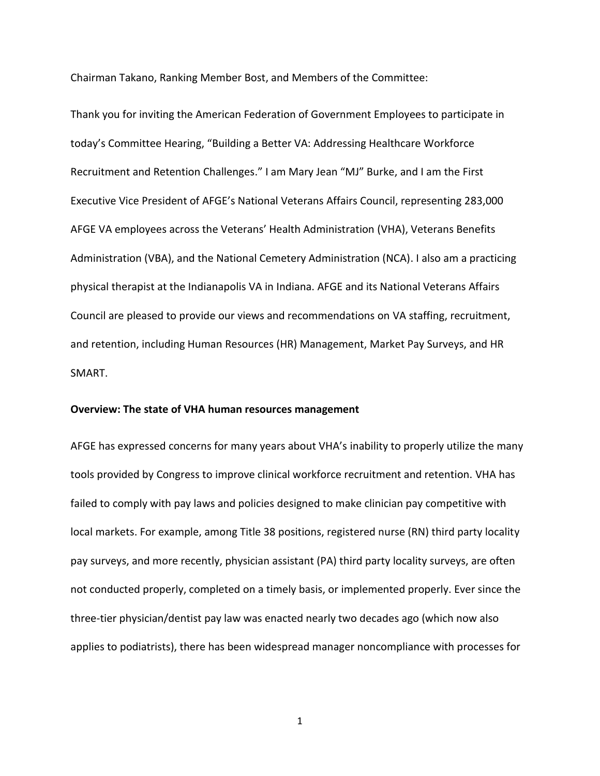Chairman Takano, Ranking Member Bost, and Members of the Committee:

Thank you for inviting the American Federation of Government Employees to participate in today's Committee Hearing, "Building a Better VA: Addressing Healthcare Workforce Recruitment and Retention Challenges." I am Mary Jean "MJ" Burke, and I am the First Executive Vice President of AFGE's National Veterans Affairs Council, representing 283,000 AFGE VA employees across the Veterans' Health Administration (VHA), Veterans Benefits Administration (VBA), and the National Cemetery Administration (NCA). I also am a practicing physical therapist at the Indianapolis VA in Indiana. AFGE and its National Veterans Affairs Council are pleased to provide our views and recommendations on VA staffing, recruitment, and retention, including Human Resources (HR) Management, Market Pay Surveys, and HR SMART.

#### **Overview: The state of VHA human resources management**

AFGE has expressed concerns for many years about VHA's inability to properly utilize the many tools provided by Congress to improve clinical workforce recruitment and retention. VHA has failed to comply with pay laws and policies designed to make clinician pay competitive with local markets. For example, among Title 38 positions, registered nurse (RN) third party locality pay surveys, and more recently, physician assistant (PA) third party locality surveys, are often not conducted properly, completed on a timely basis, or implemented properly. Ever since the three-tier physician/dentist pay law was enacted nearly two decades ago (which now also applies to podiatrists), there has been widespread manager noncompliance with processes for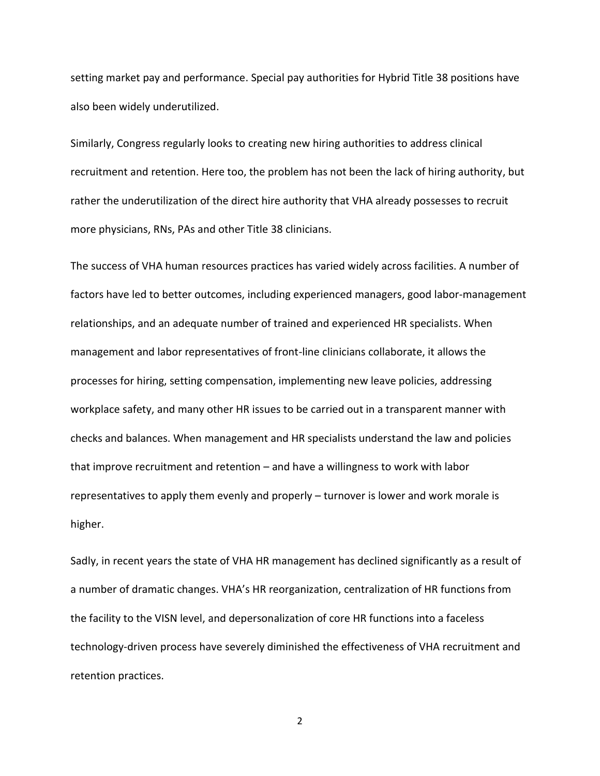setting market pay and performance. Special pay authorities for Hybrid Title 38 positions have also been widely underutilized.

Similarly, Congress regularly looks to creating new hiring authorities to address clinical recruitment and retention. Here too, the problem has not been the lack of hiring authority, but rather the underutilization of the direct hire authority that VHA already possesses to recruit more physicians, RNs, PAs and other Title 38 clinicians.

The success of VHA human resources practices has varied widely across facilities. A number of factors have led to better outcomes, including experienced managers, good labor-management relationships, and an adequate number of trained and experienced HR specialists. When management and labor representatives of front-line clinicians collaborate, it allows the processes for hiring, setting compensation, implementing new leave policies, addressing workplace safety, and many other HR issues to be carried out in a transparent manner with checks and balances. When management and HR specialists understand the law and policies that improve recruitment and retention – and have a willingness to work with labor representatives to apply them evenly and properly – turnover is lower and work morale is higher.

Sadly, in recent years the state of VHA HR management has declined significantly as a result of a number of dramatic changes. VHA's HR reorganization, centralization of HR functions from the facility to the VISN level, and depersonalization of core HR functions into a faceless technology-driven process have severely diminished the effectiveness of VHA recruitment and retention practices.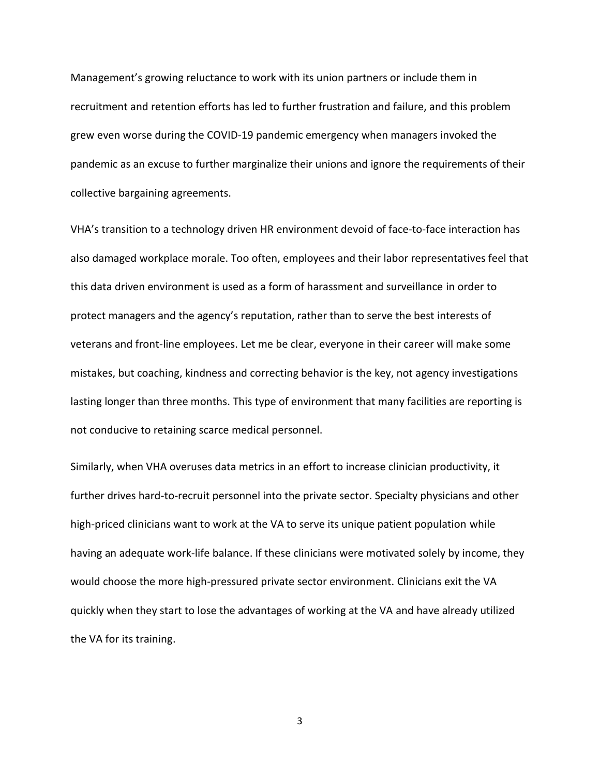Management's growing reluctance to work with its union partners or include them in recruitment and retention efforts has led to further frustration and failure, and this problem grew even worse during the COVID-19 pandemic emergency when managers invoked the pandemic as an excuse to further marginalize their unions and ignore the requirements of their collective bargaining agreements.

VHA's transition to a technology driven HR environment devoid of face-to-face interaction has also damaged workplace morale. Too often, employees and their labor representatives feel that this data driven environment is used as a form of harassment and surveillance in order to protect managers and the agency's reputation, rather than to serve the best interests of veterans and front-line employees. Let me be clear, everyone in their career will make some mistakes, but coaching, kindness and correcting behavior is the key, not agency investigations lasting longer than three months. This type of environment that many facilities are reporting is not conducive to retaining scarce medical personnel.

Similarly, when VHA overuses data metrics in an effort to increase clinician productivity, it further drives hard-to-recruit personnel into the private sector. Specialty physicians and other high-priced clinicians want to work at the VA to serve its unique patient population while having an adequate work-life balance. If these clinicians were motivated solely by income, they would choose the more high-pressured private sector environment. Clinicians exit the VA quickly when they start to lose the advantages of working at the VA and have already utilized the VA for its training.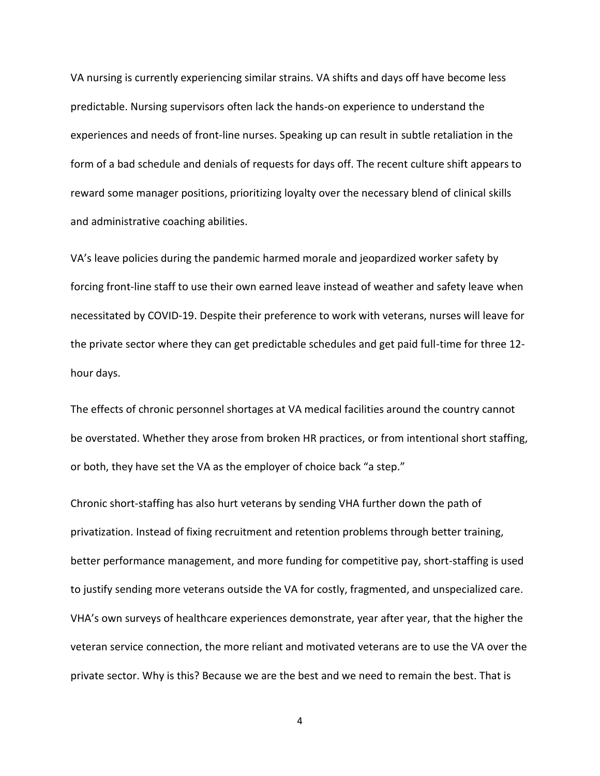VA nursing is currently experiencing similar strains. VA shifts and days off have become less predictable. Nursing supervisors often lack the hands-on experience to understand the experiences and needs of front-line nurses. Speaking up can result in subtle retaliation in the form of a bad schedule and denials of requests for days off. The recent culture shift appears to reward some manager positions, prioritizing loyalty over the necessary blend of clinical skills and administrative coaching abilities.

VA's leave policies during the pandemic harmed morale and jeopardized worker safety by forcing front-line staff to use their own earned leave instead of weather and safety leave when necessitated by COVID-19. Despite their preference to work with veterans, nurses will leave for the private sector where they can get predictable schedules and get paid full-time for three 12 hour days.

The effects of chronic personnel shortages at VA medical facilities around the country cannot be overstated. Whether they arose from broken HR practices, or from intentional short staffing, or both, they have set the VA as the employer of choice back "a step."

Chronic short-staffing has also hurt veterans by sending VHA further down the path of privatization. Instead of fixing recruitment and retention problems through better training, better performance management, and more funding for competitive pay, short-staffing is used to justify sending more veterans outside the VA for costly, fragmented, and unspecialized care. VHA's own surveys of healthcare experiences demonstrate, year after year, that the higher the veteran service connection, the more reliant and motivated veterans are to use the VA over the private sector. Why is this? Because we are the best and we need to remain the best. That is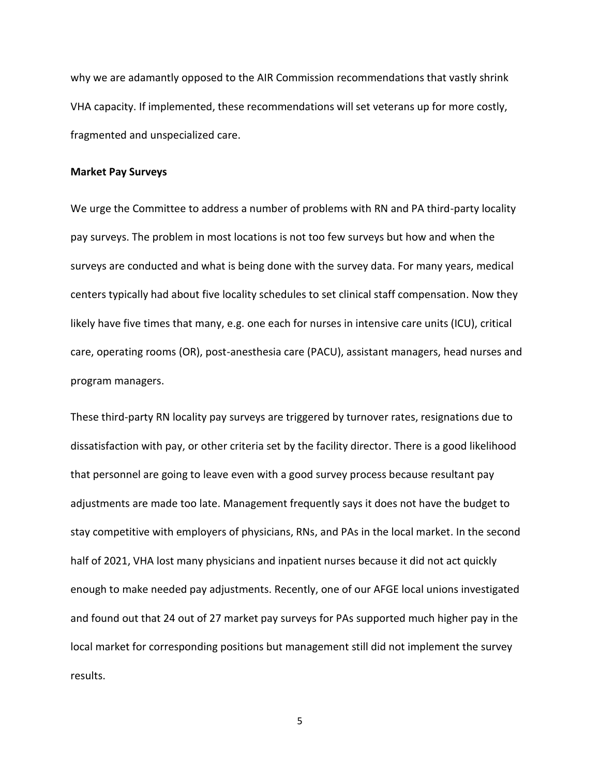why we are adamantly opposed to the AIR Commission recommendations that vastly shrink VHA capacity. If implemented, these recommendations will set veterans up for more costly, fragmented and unspecialized care.

### **Market Pay Surveys**

We urge the Committee to address a number of problems with RN and PA third-party locality pay surveys. The problem in most locations is not too few surveys but how and when the surveys are conducted and what is being done with the survey data. For many years, medical centers typically had about five locality schedules to set clinical staff compensation. Now they likely have five times that many, e.g. one each for nurses in intensive care units (ICU), critical care, operating rooms (OR), post-anesthesia care (PACU), assistant managers, head nurses and program managers.

These third-party RN locality pay surveys are triggered by turnover rates, resignations due to dissatisfaction with pay, or other criteria set by the facility director. There is a good likelihood that personnel are going to leave even with a good survey process because resultant pay adjustments are made too late. Management frequently says it does not have the budget to stay competitive with employers of physicians, RNs, and PAs in the local market. In the second half of 2021, VHA lost many physicians and inpatient nurses because it did not act quickly enough to make needed pay adjustments. Recently, one of our AFGE local unions investigated and found out that 24 out of 27 market pay surveys for PAs supported much higher pay in the local market for corresponding positions but management still did not implement the survey results.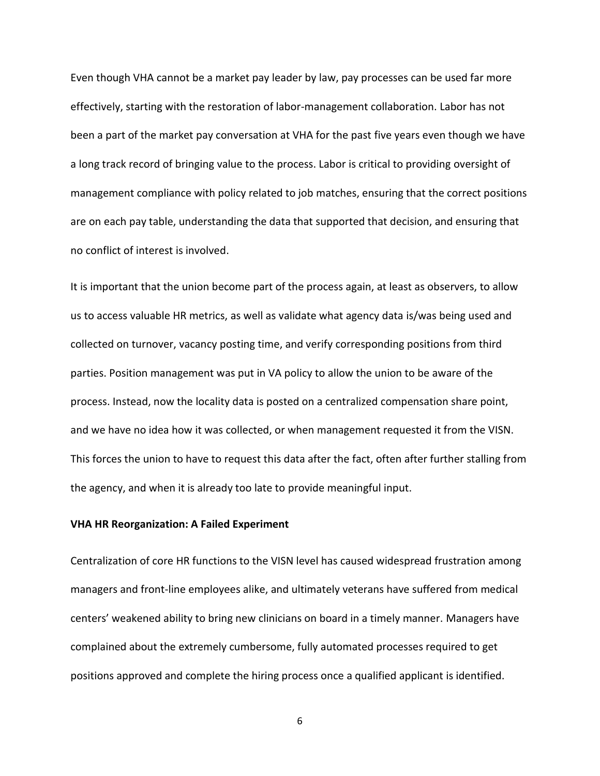Even though VHA cannot be a market pay leader by law, pay processes can be used far more effectively, starting with the restoration of labor-management collaboration. Labor has not been a part of the market pay conversation at VHA for the past five years even though we have a long track record of bringing value to the process. Labor is critical to providing oversight of management compliance with policy related to job matches, ensuring that the correct positions are on each pay table, understanding the data that supported that decision, and ensuring that no conflict of interest is involved.

It is important that the union become part of the process again, at least as observers, to allow us to access valuable HR metrics, as well as validate what agency data is/was being used and collected on turnover, vacancy posting time, and verify corresponding positions from third parties. Position management was put in VA policy to allow the union to be aware of the process. Instead, now the locality data is posted on a centralized compensation share point, and we have no idea how it was collected, or when management requested it from the VISN. This forces the union to have to request this data after the fact, often after further stalling from the agency, and when it is already too late to provide meaningful input.

### **VHA HR Reorganization: A Failed Experiment**

Centralization of core HR functions to the VISN level has caused widespread frustration among managers and front-line employees alike, and ultimately veterans have suffered from medical centers' weakened ability to bring new clinicians on board in a timely manner. Managers have complained about the extremely cumbersome, fully automated processes required to get positions approved and complete the hiring process once a qualified applicant is identified.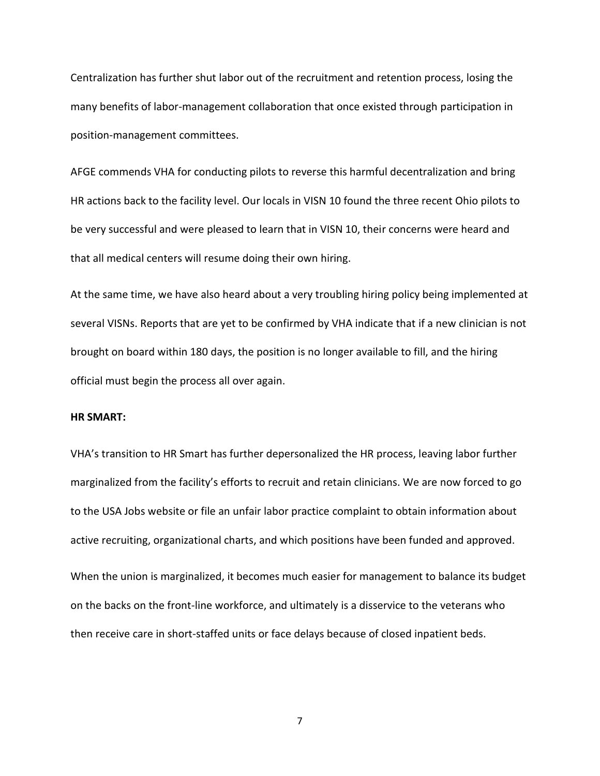Centralization has further shut labor out of the recruitment and retention process, losing the many benefits of labor-management collaboration that once existed through participation in position-management committees.

AFGE commends VHA for conducting pilots to reverse this harmful decentralization and bring HR actions back to the facility level. Our locals in VISN 10 found the three recent Ohio pilots to be very successful and were pleased to learn that in VISN 10, their concerns were heard and that all medical centers will resume doing their own hiring.

At the same time, we have also heard about a very troubling hiring policy being implemented at several VISNs. Reports that are yet to be confirmed by VHA indicate that if a new clinician is not brought on board within 180 days, the position is no longer available to fill, and the hiring official must begin the process all over again.

### **HR SMART:**

VHA's transition to HR Smart has further depersonalized the HR process, leaving labor further marginalized from the facility's efforts to recruit and retain clinicians. We are now forced to go to the USA Jobs website or file an unfair labor practice complaint to obtain information about active recruiting, organizational charts, and which positions have been funded and approved.

When the union is marginalized, it becomes much easier for management to balance its budget on the backs on the front-line workforce, and ultimately is a disservice to the veterans who then receive care in short-staffed units or face delays because of closed inpatient beds.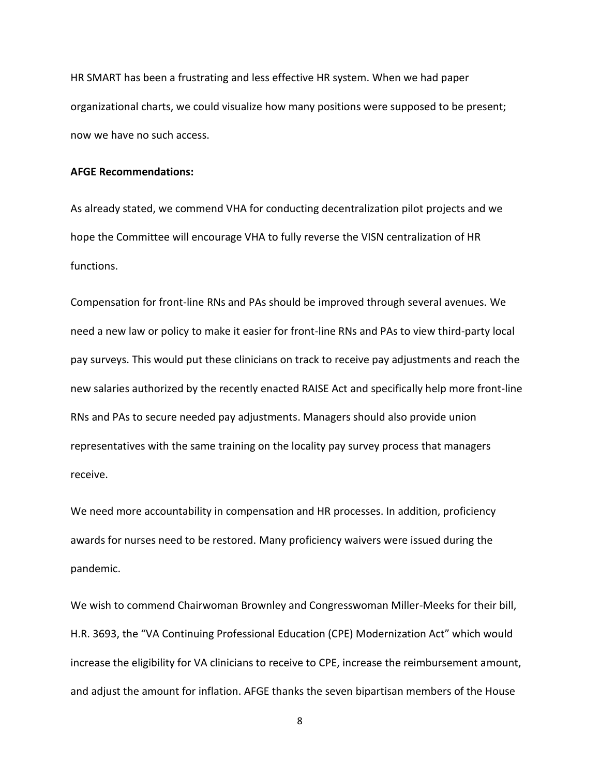HR SMART has been a frustrating and less effective HR system. When we had paper organizational charts, we could visualize how many positions were supposed to be present; now we have no such access.

### **AFGE Recommendations:**

As already stated, we commend VHA for conducting decentralization pilot projects and we hope the Committee will encourage VHA to fully reverse the VISN centralization of HR functions.

Compensation for front-line RNs and PAs should be improved through several avenues. We need a new law or policy to make it easier for front-line RNs and PAs to view third-party local pay surveys. This would put these clinicians on track to receive pay adjustments and reach the new salaries authorized by the recently enacted RAISE Act and specifically help more front-line RNs and PAs to secure needed pay adjustments. Managers should also provide union representatives with the same training on the locality pay survey process that managers receive.

We need more accountability in compensation and HR processes. In addition, proficiency awards for nurses need to be restored. Many proficiency waivers were issued during the pandemic.

We wish to commend Chairwoman Brownley and Congresswoman Miller-Meeks for their bill, H.R. 3693, the "VA Continuing Professional Education (CPE) Modernization Act" which would increase the eligibility for VA clinicians to receive to CPE, increase the reimbursement amount, and adjust the amount for inflation. AFGE thanks the seven bipartisan members of the House